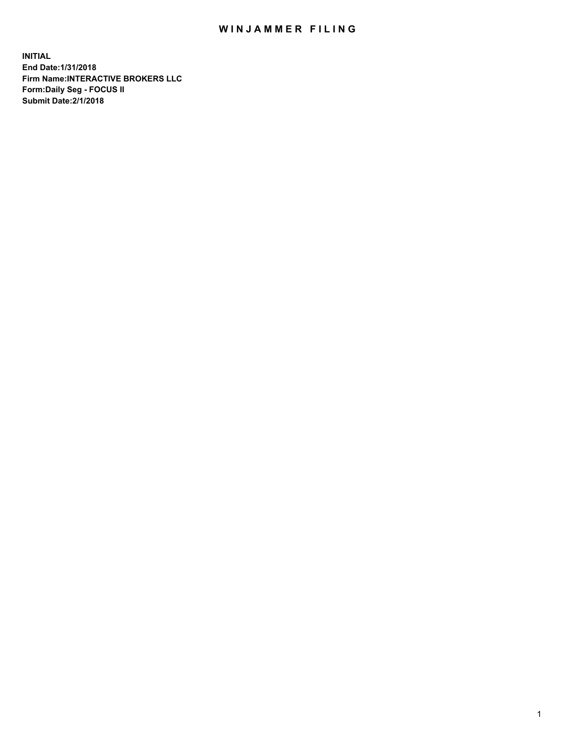## WIN JAMMER FILING

**INITIAL End Date:1/31/2018 Firm Name:INTERACTIVE BROKERS LLC Form:Daily Seg - FOCUS II Submit Date:2/1/2018**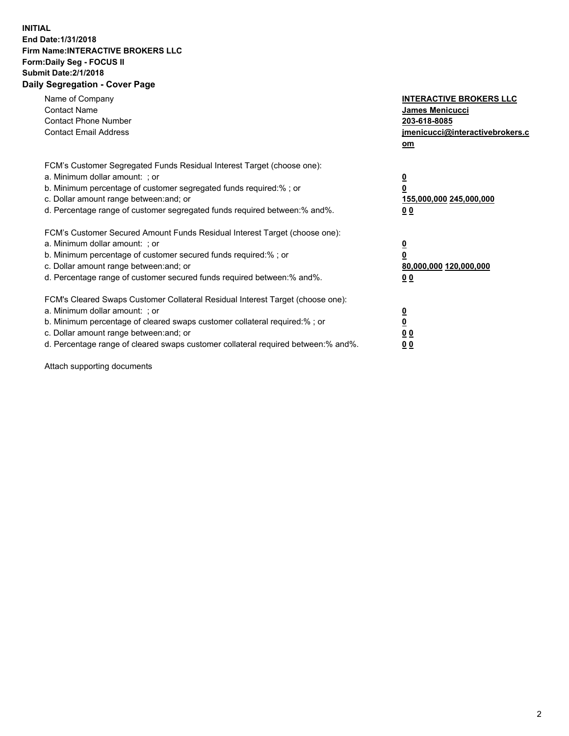## **INITIAL End Date:1/31/2018 Firm Name:INTERACTIVE BROKERS LLC Form:Daily Seg - FOCUS II Submit Date:2/1/2018 Daily Segregation - Cover Page**

| Name of Company<br><b>Contact Name</b><br><b>Contact Phone Number</b><br><b>Contact Email Address</b>                                                                                                                                                                                                                          | <b>INTERACTIVE BROKERS LLC</b><br><b>James Menicucci</b><br>203-618-8085<br>jmenicucci@interactivebrokers.c<br>om |
|--------------------------------------------------------------------------------------------------------------------------------------------------------------------------------------------------------------------------------------------------------------------------------------------------------------------------------|-------------------------------------------------------------------------------------------------------------------|
| FCM's Customer Segregated Funds Residual Interest Target (choose one):<br>a. Minimum dollar amount: ; or<br>b. Minimum percentage of customer segregated funds required:% ; or<br>c. Dollar amount range between: and; or<br>d. Percentage range of customer segregated funds required between:% and%.                         | $\overline{\mathbf{0}}$<br>0<br>155,000,000 245,000,000<br>0 <sub>0</sub>                                         |
| FCM's Customer Secured Amount Funds Residual Interest Target (choose one):<br>a. Minimum dollar amount: ; or<br>b. Minimum percentage of customer secured funds required:% ; or<br>c. Dollar amount range between: and; or<br>d. Percentage range of customer secured funds required between:% and%.                           | $\overline{\mathbf{0}}$<br>0<br>80,000,000 120,000,000<br>00                                                      |
| FCM's Cleared Swaps Customer Collateral Residual Interest Target (choose one):<br>a. Minimum dollar amount: ; or<br>b. Minimum percentage of cleared swaps customer collateral required:% ; or<br>c. Dollar amount range between: and; or<br>d. Percentage range of cleared swaps customer collateral required between:% and%. | $\overline{\mathbf{0}}$<br>$\overline{\mathbf{0}}$<br>0 <sub>0</sub><br>0 <sub>0</sub>                            |

Attach supporting documents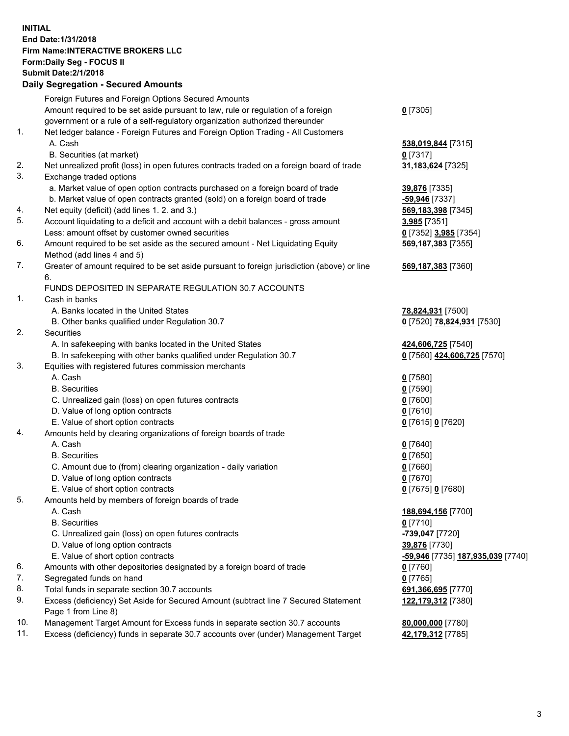## **INITIAL End Date:1/31/2018 Firm Name:INTERACTIVE BROKERS LLC Form:Daily Seg - FOCUS II Submit Date:2/1/2018 Daily Segregation - Secured Amounts**

|     | Daily Segregation - Secured Amounts                                                         |                                   |
|-----|---------------------------------------------------------------------------------------------|-----------------------------------|
|     | Foreign Futures and Foreign Options Secured Amounts                                         |                                   |
|     | Amount required to be set aside pursuant to law, rule or regulation of a foreign            | $0$ [7305]                        |
|     | government or a rule of a self-regulatory organization authorized thereunder                |                                   |
| 1.  | Net ledger balance - Foreign Futures and Foreign Option Trading - All Customers             |                                   |
|     | A. Cash                                                                                     | 538,019,844 [7315]                |
|     | B. Securities (at market)                                                                   | $0$ [7317]                        |
| 2.  | Net unrealized profit (loss) in open futures contracts traded on a foreign board of trade   | 31,183,624 [7325]                 |
| 3.  | Exchange traded options                                                                     |                                   |
|     | a. Market value of open option contracts purchased on a foreign board of trade              | 39,876 [7335]                     |
|     | b. Market value of open contracts granted (sold) on a foreign board of trade                | -59,946 [7337]                    |
| 4.  | Net equity (deficit) (add lines 1.2. and 3.)                                                | 569,183,398 [7345]                |
| 5.  | Account liquidating to a deficit and account with a debit balances - gross amount           | 3,985 [7351]                      |
|     | Less: amount offset by customer owned securities                                            | 0 [7352] 3,985 [7354]             |
| 6.  | Amount required to be set aside as the secured amount - Net Liquidating Equity              | 569, 187, 383 [7355]              |
|     | Method (add lines 4 and 5)                                                                  |                                   |
| 7.  | Greater of amount required to be set aside pursuant to foreign jurisdiction (above) or line | 569,187,383 [7360]                |
|     | 6.                                                                                          |                                   |
|     | FUNDS DEPOSITED IN SEPARATE REGULATION 30.7 ACCOUNTS                                        |                                   |
| 1.  | Cash in banks                                                                               |                                   |
|     | A. Banks located in the United States                                                       | 78,824,931 [7500]                 |
|     | B. Other banks qualified under Regulation 30.7                                              | 0 [7520] 78,824,931 [7530]        |
| 2.  | Securities                                                                                  |                                   |
|     | A. In safekeeping with banks located in the United States                                   | 424,606,725 [7540]                |
|     | B. In safekeeping with other banks qualified under Regulation 30.7                          | 0 [7560] 424,606,725 [7570]       |
| 3.  | Equities with registered futures commission merchants                                       |                                   |
|     | A. Cash                                                                                     | $0$ [7580]                        |
|     | <b>B.</b> Securities                                                                        | $0$ [7590]                        |
|     | C. Unrealized gain (loss) on open futures contracts                                         | $0$ [7600]                        |
|     | D. Value of long option contracts                                                           | $0$ [7610]                        |
|     | E. Value of short option contracts                                                          | 0 [7615] 0 [7620]                 |
| 4.  | Amounts held by clearing organizations of foreign boards of trade                           |                                   |
|     | A. Cash                                                                                     | $0$ [7640]                        |
|     | <b>B.</b> Securities                                                                        | $0$ [7650]                        |
|     | C. Amount due to (from) clearing organization - daily variation                             | $0$ [7660]                        |
|     | D. Value of long option contracts                                                           | $0$ [7670]                        |
|     |                                                                                             |                                   |
| 5.  | E. Value of short option contracts                                                          | 0 [7675] 0 [7680]                 |
|     | Amounts held by members of foreign boards of trade                                          |                                   |
|     | A. Cash                                                                                     | 188,694,156 [7700]                |
|     | <b>B.</b> Securities                                                                        | $0$ [7710]                        |
|     | C. Unrealized gain (loss) on open futures contracts                                         | -739,047 [7720]                   |
|     | D. Value of long option contracts                                                           | 39,876 [7730]                     |
|     | E. Value of short option contracts                                                          | -59,946 [7735] 187,935,039 [7740] |
| 6.  | Amounts with other depositories designated by a foreign board of trade                      | 0 [7760]                          |
| 7.  | Segregated funds on hand                                                                    | $0$ [7765]                        |
| 8.  | Total funds in separate section 30.7 accounts                                               | 691,366,695 [7770]                |
| 9.  | Excess (deficiency) Set Aside for Secured Amount (subtract line 7 Secured Statement         | 122,179,312 [7380]                |
|     | Page 1 from Line 8)                                                                         |                                   |
| 10. | Management Target Amount for Excess funds in separate section 30.7 accounts                 | 80,000,000 [7780]                 |
| 11. | Excess (deficiency) funds in separate 30.7 accounts over (under) Management Target          | 42,179,312 [7785]                 |
|     |                                                                                             |                                   |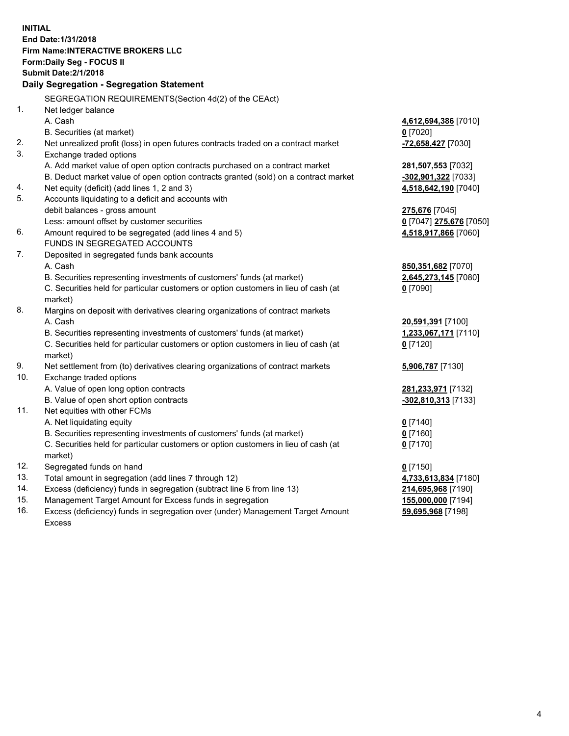**INITIAL End Date:1/31/2018 Firm Name:INTERACTIVE BROKERS LLC Form:Daily Seg - FOCUS II Submit Date:2/1/2018 Daily Segregation - Segregation Statement** SEGREGATION REQUIREMENTS(Section 4d(2) of the CEAct) 1. Net ledger balance A. Cash **4,612,694,386** [7010] B. Securities (at market) **0** [7020] 2. Net unrealized profit (loss) in open futures contracts traded on a contract market **-72,658,427** [7030] 3. Exchange traded options A. Add market value of open option contracts purchased on a contract market **281,507,553** [7032] B. Deduct market value of open option contracts granted (sold) on a contract market **-302,901,322** [7033] 4. Net equity (deficit) (add lines 1, 2 and 3) **4,518,642,190** [7040] 5. Accounts liquidating to a deficit and accounts with debit balances - gross amount **275,676** [7045] Less: amount offset by customer securities **0** [7047] **275,676** [7050] 6. Amount required to be segregated (add lines 4 and 5) **4,518,917,866** [7060] FUNDS IN SEGREGATED ACCOUNTS 7. Deposited in segregated funds bank accounts A. Cash **850,351,682** [7070] B. Securities representing investments of customers' funds (at market) **2,645,273,145** [7080] C. Securities held for particular customers or option customers in lieu of cash (at market) **0** [7090] 8. Margins on deposit with derivatives clearing organizations of contract markets A. Cash **20,591,391** [7100] B. Securities representing investments of customers' funds (at market) **1,233,067,171** [7110] C. Securities held for particular customers or option customers in lieu of cash (at market) **0** [7120] 9. Net settlement from (to) derivatives clearing organizations of contract markets **5,906,787** [7130] 10. Exchange traded options A. Value of open long option contracts **281,233,971** [7132] B. Value of open short option contracts **-302,810,313** [7133] 11. Net equities with other FCMs A. Net liquidating equity **0** [7140] B. Securities representing investments of customers' funds (at market) **0** [7160] C. Securities held for particular customers or option customers in lieu of cash (at market) **0** [7170] 12. Segregated funds on hand **0** [7150] 13. Total amount in segregation (add lines 7 through 12) **4,733,613,834** [7180] 14. Excess (deficiency) funds in segregation (subtract line 6 from line 13) **214,695,968** [7190] 15. Management Target Amount for Excess funds in segregation **155,000,000** [7194]

16. Excess (deficiency) funds in segregation over (under) Management Target Amount Excess

**59,695,968** [7198]